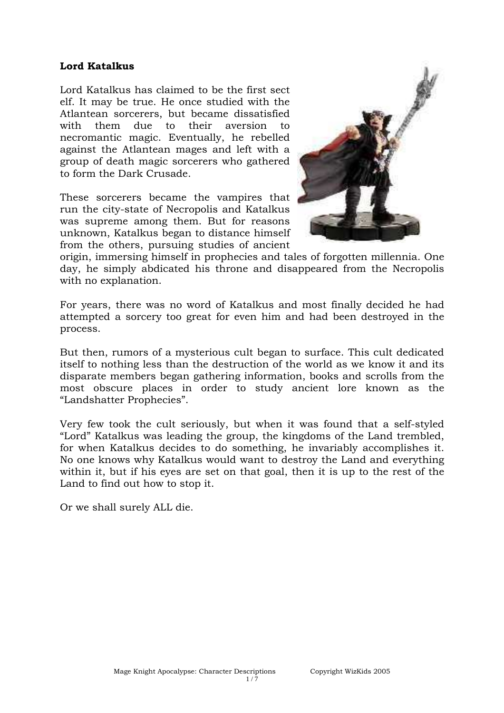## **Lord Katalkus**

Lord Katalkus has claimed to be the first sect elf. It may be true. He once studied with the Atlantean sorcerers, but became dissatisfied with them due to their aversion to necromantic magic. Eventually, he rebelled against the Atlantean mages and left with a group of death magic sorcerers who gathered to form the Dark Crusade.

These sorcerers became the vampires that run the city-state of Necropolis and Katalkus was supreme among them. But for reasons unknown, Katalkus began to distance himself from the others, pursuing studies of ancient



origin, immersing himself in prophecies and tales of forgotten millennia. One day, he simply abdicated his throne and disappeared from the Necropolis with no explanation.

For years, there was no word of Katalkus and most finally decided he had attempted a sorcery too great for even him and had been destroyed in the process.

But then, rumors of a mysterious cult began to surface. This cult dedicated itself to nothing less than the destruction of the world as we know it and its disparate members began gathering information, books and scrolls from the most obscure places in order to study ancient lore known as the "Landshatter Prophecies".

Very few took the cult seriously, but when it was found that a self-styled "Lord" Katalkus was leading the group, the kingdoms of the Land trembled, for when Katalkus decides to do something, he invariably accomplishes it. No one knows why Katalkus would want to destroy the Land and everything within it, but if his eyes are set on that goal, then it is up to the rest of the Land to find out how to stop it.

Or we shall surely ALL die.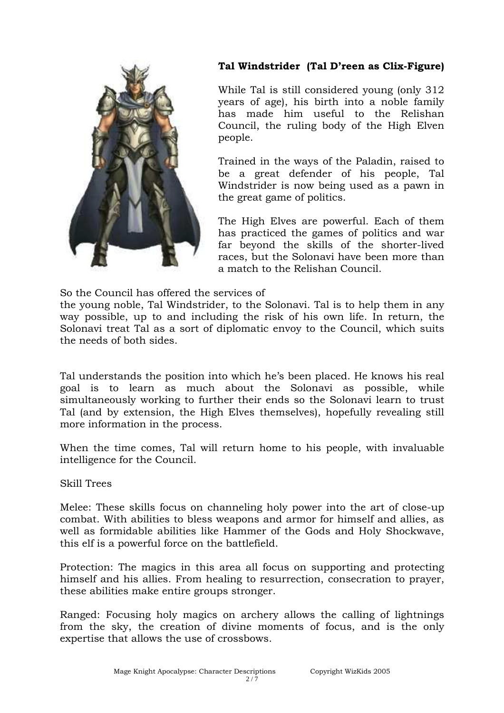

# **Tal Windstrider (Tal D'reen as Clix-Figure)**

While Tal is still considered young (only 312 years of age), his birth into a noble family has made him useful to the Relishan Council, the ruling body of the High Elven people.

Trained in the ways of the Paladin, raised to be a great defender of his people, Tal Windstrider is now being used as a pawn in the great game of politics.

The High Elves are powerful. Each of them has practiced the games of politics and war far beyond the skills of the shorter-lived races, but the Solonavi have been more than a match to the Relishan Council.

So the Council has offered the services of

the young noble, Tal Windstrider, to the Solonavi. Tal is to help them in any way possible, up to and including the risk of his own life. In return, the Solonavi treat Tal as a sort of diplomatic envoy to the Council, which suits the needs of both sides.

Tal understands the position into which he's been placed. He knows his real goal is to learn as much about the Solonavi as possible, while simultaneously working to further their ends so the Solonavi learn to trust Tal (and by extension, the High Elves themselves), hopefully revealing still more information in the process.

When the time comes, Tal will return home to his people, with invaluable intelligence for the Council.

Skill Trees

Melee: These skills focus on channeling holy power into the art of close-up combat. With abilities to bless weapons and armor for himself and allies, as well as formidable abilities like Hammer of the Gods and Holy Shockwave, this elf is a powerful force on the battlefield.

Protection: The magics in this area all focus on supporting and protecting himself and his allies. From healing to resurrection, consecration to prayer, these abilities make entire groups stronger.

Ranged: Focusing holy magics on archery allows the calling of lightnings from the sky, the creation of divine moments of focus, and is the only expertise that allows the use of crossbows.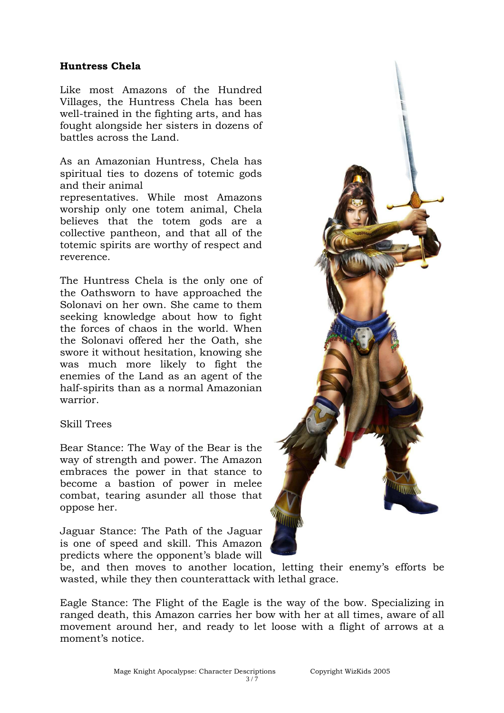## **Huntress Chela**

Like most Amazons of the Hundred Villages, the Huntress Chela has been well-trained in the fighting arts, and has fought alongside her sisters in dozens of battles across the Land.

As an Amazonian Huntress, Chela has spiritual ties to dozens of totemic gods and their animal representatives. While most Amazons worship only one totem animal, Chela believes that the totem gods are a

collective pantheon, and that all of the totemic spirits are worthy of respect and reverence.

The Huntress Chela is the only one of the Oathsworn to have approached the Solonavi on her own. She came to them seeking knowledge about how to fight the forces of chaos in the world. When the Solonavi offered her the Oath, she swore it without hesitation, knowing she was much more likely to fight the enemies of the Land as an agent of the half-spirits than as a normal Amazonian warrior.

### Skill Trees

Bear Stance: The Way of the Bear is the way of strength and power. The Amazon embraces the power in that stance to become a bastion of power in melee combat, tearing asunder all those that oppose her.

Jaguar Stance: The Path of the Jaguar is one of speed and skill. This Amazon predicts where the opponent's blade will

be, and then moves to another location, letting their enemy's efforts be wasted, while they then counterattack with lethal grace.

Eagle Stance: The Flight of the Eagle is the way of the bow. Specializing in ranged death, this Amazon carries her bow with her at all times, aware of all movement around her, and ready to let loose with a flight of arrows at a moment's notice.

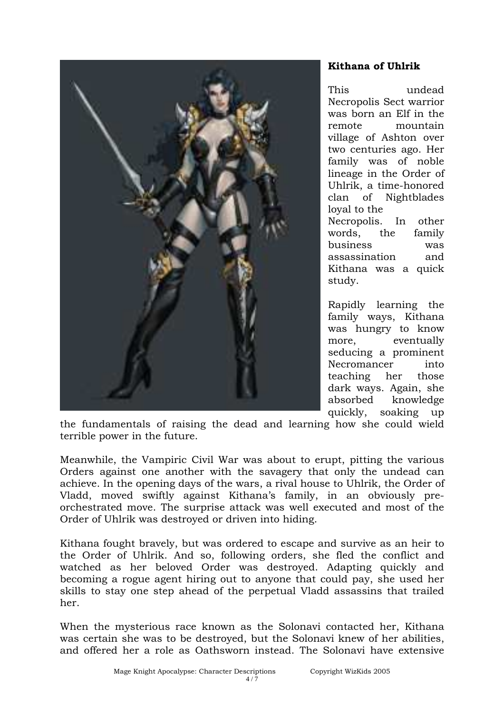

# **Kithana of Uhlrik**

This undead Necropolis Sect warrior was born an Elf in the remote mountain village of Ashton over two centuries ago. Her family was of noble lineage in the Order of Uhlrik, a time-honored clan of Nightblades loyal to the Necropolis. In other words, the family business was assassination and Kithana was a quick study.

Rapidly learning the family ways, Kithana was hungry to know more, eventually seducing a prominent Necromancer into teaching her those dark ways. Again, she absorbed knowledge quickly, soaking up

the fundamentals of raising the dead and learning how she could wield terrible power in the future.

Meanwhile, the Vampiric Civil War was about to erupt, pitting the various Orders against one another with the savagery that only the undead can achieve. In the opening days of the wars, a rival house to Uhlrik, the Order of Vladd, moved swiftly against Kithana's family, in an obviously preorchestrated move. The surprise attack was well executed and most of the Order of Uhlrik was destroyed or driven into hiding.

Kithana fought bravely, but was ordered to escape and survive as an heir to the Order of Uhlrik. And so, following orders, she fled the conflict and watched as her beloved Order was destroyed. Adapting quickly and becoming a rogue agent hiring out to anyone that could pay, she used her skills to stay one step ahead of the perpetual Vladd assassins that trailed her.

When the mysterious race known as the Solonavi contacted her, Kithana was certain she was to be destroyed, but the Solonavi knew of her abilities, and offered her a role as Oathsworn instead. The Solonavi have extensive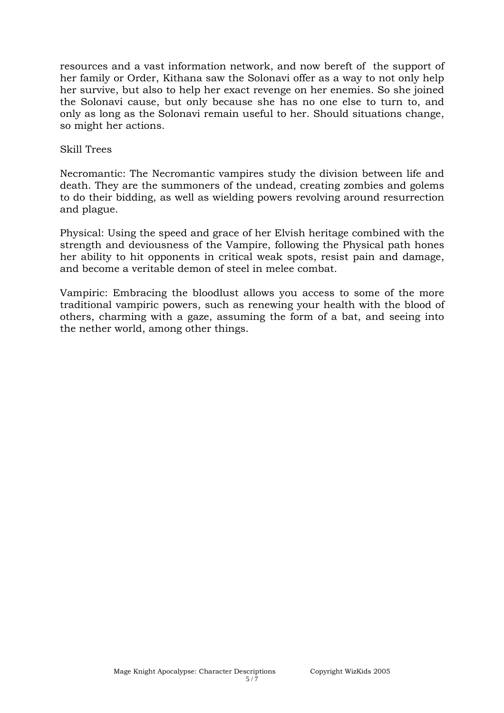resources and a vast information network, and now bereft of the support of her family or Order, Kithana saw the Solonavi offer as a way to not only help her survive, but also to help her exact revenge on her enemies. So she joined the Solonavi cause, but only because she has no one else to turn to, and only as long as the Solonavi remain useful to her. Should situations change, so might her actions.

### Skill Trees

Necromantic: The Necromantic vampires study the division between life and death. They are the summoners of the undead, creating zombies and golems to do their bidding, as well as wielding powers revolving around resurrection and plague.

Physical: Using the speed and grace of her Elvish heritage combined with the strength and deviousness of the Vampire, following the Physical path hones her ability to hit opponents in critical weak spots, resist pain and damage, and become a veritable demon of steel in melee combat.

Vampiric: Embracing the bloodlust allows you access to some of the more traditional vampiric powers, such as renewing your health with the blood of others, charming with a gaze, assuming the form of a bat, and seeing into the nether world, among other things.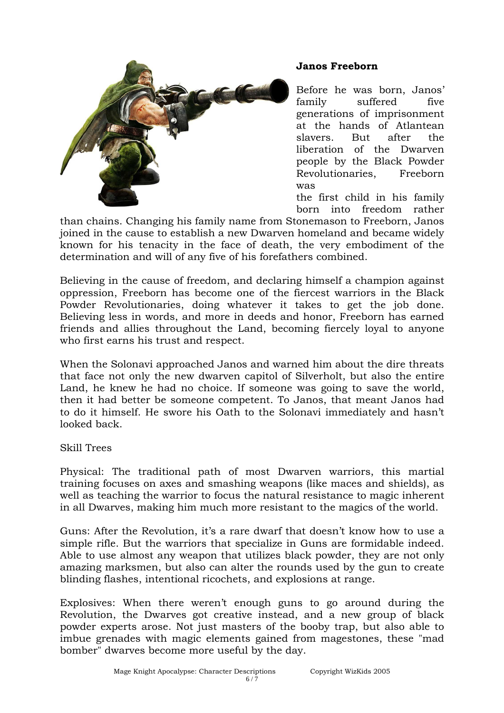

## **Janos Freeborn**

Before he was born, Janos' family suffered five generations of imprisonment at the hands of Atlantean slavers. But after the liberation of the Dwarven people by the Black Powder Revolutionaries, Freeborn was

the first child in his family born into freedom rather

than chains. Changing his family name from Stonemason to Freeborn, Janos joined in the cause to establish a new Dwarven homeland and became widely known for his tenacity in the face of death, the very embodiment of the determination and will of any five of his forefathers combined.

Believing in the cause of freedom, and declaring himself a champion against oppression, Freeborn has become one of the fiercest warriors in the Black Powder Revolutionaries, doing whatever it takes to get the job done. Believing less in words, and more in deeds and honor, Freeborn has earned friends and allies throughout the Land, becoming fiercely loyal to anyone who first earns his trust and respect.

When the Solonavi approached Janos and warned him about the dire threats that face not only the new dwarven capitol of Silverholt, but also the entire Land, he knew he had no choice. If someone was going to save the world, then it had better be someone competent. To Janos, that meant Janos had to do it himself. He swore his Oath to the Solonavi immediately and hasn't looked back.

Skill Trees

Physical: The traditional path of most Dwarven warriors, this martial training focuses on axes and smashing weapons (like maces and shields), as well as teaching the warrior to focus the natural resistance to magic inherent in all Dwarves, making him much more resistant to the magics of the world.

Guns: After the Revolution, it's a rare dwarf that doesn't know how to use a simple rifle. But the warriors that specialize in Guns are formidable indeed. Able to use almost any weapon that utilizes black powder, they are not only amazing marksmen, but also can alter the rounds used by the gun to create blinding flashes, intentional ricochets, and explosions at range.

Explosives: When there weren't enough guns to go around during the Revolution, the Dwarves got creative instead, and a new group of black powder experts arose. Not just masters of the booby trap, but also able to imbue grenades with magic elements gained from magestones, these "mad bomber" dwarves become more useful by the day.